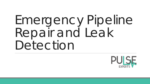# Emergency Pipeline Repair and Leak Detection

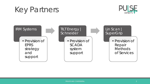



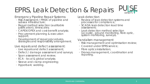#### EPRS, Leak Detection & Repairs



Emergency Pipeline Repair Systems:

- Risk Assessment / FMEA of pipeline and subsea infrastructure;
- Repair method selection (auditable justification), timescales;
- CAPEX/OPEX and cost-benefit analysis;
- Procurement planning & execution support;
- Development of repair procedures, strategies and responsibility arrangement.

Live repairs and defect assessment:

- Live repairs and defect assessment;
- Defect / damage assessment and surveys;
- Span assessment and review;
- ECA local & global analysis;
- Sleeve and clamp engineering;
- Hyperbaric welding.

Leak detection

- Review of leak detection systems and processes for compliance;
- SCADA leak detection lead time assessment;
- Leak detection method selection (acoustic, ground monitoring, fibre optic, system monitoring, surveys).

Vandalism management

- Risk management and optimisation review;
- Covered under EPRS service;
- Fibre optics installation;
- Drones management, coordination and reporting.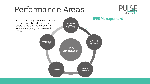### Performance Areas



defined and aligned, and then coordinated and managed by a single, emergency management team

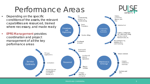## Performance Areas



• Depending on the specific De-Clamps, commissioning. Connectors, conditions of the assets, the relevant isolation. re-Sleeves, Line commissioning Pipe capabilities are resourced, trained Repair **Isolation Tool** Procedures where necessary, and made ready Procedures Consumables, and **Tools and** Equipment Engineering Frames, Cutting tools, • EPRS Management provides PRT, A&R Head, Lifting Pipeline Lifting Clamps, Coating coordination and project Removal tools, etc. management of all the key De-commissioning, Post Repair isolation, & re-Analyses performance areascommissioning Knowhow & Competency PRS type Robust schedule organizations Interfaces & Links to Operations Service Ensures Maintenance Personnel continuous Contractors & Storage Contracts readiness Regular training Services that use consumables or Dry Runs and parts (ROVs, In-house SIT's expertise or vessels, etc.) Contractor

PRIVATE AND CONFIDENTIAL 5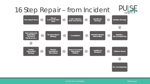

PRIVATE AND CONFIDENTIAL **PRIVATE AND CONFIDENTIAL** PIMS GLOBAL PIMS Global PIMS Global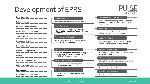## Development of EPRS



| Data Gathering                                               | Data Gathering                                                                               | Initial Assessment / Engineering                                                             |
|--------------------------------------------------------------|----------------------------------------------------------------------------------------------|----------------------------------------------------------------------------------------------|
| <b>Failure Scenarios</b>                                     | • Asset register, Local context, Risk review                                                 | . Review of current configuration, Inspection<br>as required, Assessments e.g. FEA, Material |
| Proposed Repair Scenarios                                    | <b>Failure Scenarios</b>                                                                     | consideration                                                                                |
|                                                              | • Scenarios and possible repair options,<br>Consolidation with client, Review with local     | <b>Solution Selection</b>                                                                    |
| Initial Assessment / Engineering<br>$\overline{\phantom{a}}$ | processes                                                                                    | • Tool selection, Solution and component<br>design, Design reports, Risk review              |
| Solution Selection                                           | Proposed Repair Scenarios                                                                    | Preparation (Team)                                                                           |
| Preparation (Team)                                           | • Flow charts, Required hardware, Vendor<br>identification, Cost benefit analysis            | • Form repair team, Set-up communication<br>lines, Consultation and risk assessment          |
| Preparation (Tool)                                           |                                                                                              |                                                                                              |
|                                                              | Preparation (Tool)                                                                           | Equipment Set-up and Test                                                                    |
| FAT and Site Preparation                                     | • Detailed design and fabrication, Testing of<br>solution (internal, external), Project site | • Preparation and transportation, deployment and<br>pre-isolation set up                     |
| Mobilise                                                     | activities, FAT documentation                                                                | <b>Isolation and Monitoring</b>                                                              |
| Equipment Set-up and Test                                    | FAT and Site Preparation                                                                     | • Site activities, Isolation setting, Isolation monitoring                                   |
| Isolation and Monitoring                                     | • FAT execution and client engagement, Site /<br>isolation preparation                       | <b>Job Execution</b>                                                                         |
|                                                              |                                                                                              | •Repair work, Logistics and transport                                                        |
| <b>Job Execution</b>                                         | Mobilise<br>• Final site checks, Prepare operational                                         | De-isolation and Commission                                                                  |
| De-isolation and Commission                                  | procedures                                                                                   | •Re-instatement, Re-commissioning                                                            |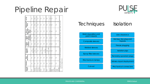### Pipeline Repair



Isolation

| Anomaly/<br>Feature            | Grinding                   | Deposition<br>Weld | Composite<br>Repair (1)                                                                                           | (reinforce)<br>Welded<br>Sleeve | containing)<br><b>pressure</b><br>Welded<br>Sleeve | Epoxy-filled<br>Sleeve or<br><b>Grout or</b><br>Clamp | Mechanical<br>Clamp | Cut Out            |
|--------------------------------|----------------------------|--------------------|-------------------------------------------------------------------------------------------------------------------|---------------------------------|----------------------------------------------------|-------------------------------------------------------|---------------------|--------------------|
| Leak                           | ž                          | $\frac{1}{2}$      | (Temp only)<br>Yes                                                                                                | ž                               | Yes                                                | ž                                                     | Yes                 | Yes                |
| corrosion<br>Internal          | ž                          | ž                  | (Temp only)<br>Yes                                                                                                | (Temp only)<br>Ýes              | (Temp only)<br>Yes                                 | (Temp only)<br>Yes                                    | (Temp only)<br>Yes  | (Temp only)<br>yes |
| corrosion<br>External          | Yes                        | ž                  | Yes                                                                                                               | Yes                             | Yes                                                | Yes                                                   | Yes                 | Yes                |
| Crack                          | Yes                        | ž                  | (After grinding)<br><b>Yes</b>                                                                                    | ž                               | Yes                                                | Yes                                                   | ž                   | Yes                |
| Gouge                          | Yes                        | ž                  | (Smooth)<br>Yes                                                                                                   | Yes                             | Yes                                                | Yes                                                   | ž                   | Yes                |
| Dent                           | ž                          | ž                  | $(< 12,5%$ wall<br>Yes                                                                                            | ž                               | Yes <sup>a</sup>                                   | Yes                                                   | $\frac{6}{2}$       | <b>Yes</b>         |
| Buckle                         | $\frac{9}{2}$              | ž                  | ş                                                                                                                 | ž                               | ž                                                  | Ýes                                                   | ž                   | Yes                |
| Anomaly<br>Weld<br>ti<br>Girth | Yes                        | ž                  | ž                                                                                                                 | ž                               | Yes                                                | ž                                                     | ž                   | Yes                |
| Anomaly<br>Seam<br>Weld        | Yes                        | ž                  | ž                                                                                                                 | ž                               | Yes                                                | Ýes                                                   | <b>Yes</b>          | Yes                |
| $\overline{a}$<br>Ń            | Only if no fatigue issues. |                    | Composite repairs will not normally be applicable for subsea repair but they have been used in splash zone areas. |                                 |                                                    |                                                       |                     |                    |

#### **Techniques**

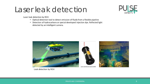#### Laser leak detection



Laser leak detection by ROV

- Optical detection tool to detect emission of fluids from a flexible pipeline
- Detection of hydrocarbons or special developed injection dye. Reflected light detected by an intelligent camera.



Leak detection by ROV

PRIVATE AND CONFIDENTIAL **9 PRIVATE AND CONFIDENTIAL**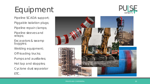## Equipment



Pipeline SCADA support; Piggable isolation plugs;

Pipeline repair clamps;

Pipeline sleeves and wraps;

Excavators & swamp buggies;

Welding equipment;

Off-loading trucks;

Pumps and auxiliaries;

Hot tap and stopples;

Cyclone dust separator ETC.



#### PRIVATE AND CONFIDENTIAL **10** No. 10 No. 10 No. 10 No. 10 No. 10 No. 10 No. 10 No. 10 No. 10 No. 10 No. 10 No. 10 No. 10 No. 10 No. 10 No. 10 No. 10 No. 10 No. 10 No. 10 No. 10 No. 10 No. 10 No. 10 No. 10 No. 10 No. 10 No.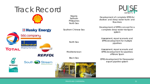

PRIVATE AND CONFIDENTIAL **11** No. 12 No. 12 No. 12 No. 12 No. 12 No. 12 No. 12 No. 12 No. 12 No. 12 No. 12 No. 12 No. 12 No. 12 No. 12 No. 12 No. 12 No. 12 No. 12 No. 12 No. 12 No. 12 No. 12 No. 12 No. 12 No. 12 No. 12 No.